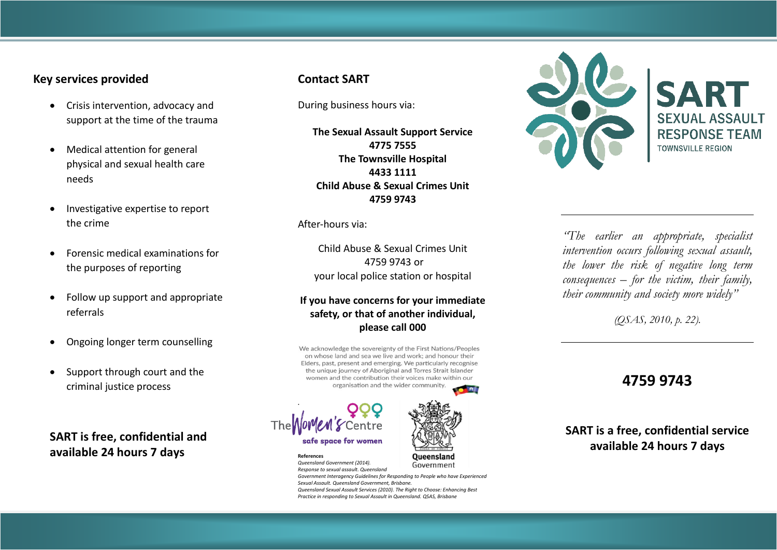## **Key services provided**

- Crisis intervention, advocacy and support at the time of the trauma
- Medical attention for general physical and sexual health care needs
- Investigative expertise to report the crime
- Forensic medical examinations for the purposes of reporting
- Follow up support and appropriate referrals
- Ongoing longer term counselling
- Support through court and the criminal justice process

**SART is free, confidential and available 24 hours 7 days**

## **Contact SART**

During business hours via:

**The Sexual Assault Support Service 4775 7555 The Townsville Hospital 4433 1111 Child Abuse & Sexual Crimes Unit 4759 9743**

After-hours via:

Child Abuse & Sexual Crimes Unit 4759 9743 or your local police station or hospital

### **If you have concerns for your immediate safety, or that of another individual, please call 000**

We acknowledge the sovereignty of the First Nations/Peoples on whose land and sea we live and work; and honour their Elders, past, present and emerging. We particularly recognise the unique journey of Aboriginal and Torres Strait Islander women and the contribution their voices make within our organisation and the wider community.







*Queensland Government (2014).*  Government *Response to sexual assault. Queensland Government Interagency Guidelines for Responding to People who have Experienced Sexual Assault. Queensland Government, Brisbane. Queensland Sexual Assault Services (2010). The Right to Choose: Enhancing Best Practice in responding to Sexual Assault in Queensland. QSAS, Brisbane*



*"The earlier an appropriate, specialist intervention occurs following sexual assault, the lower the risk of negative long term consequences – for the victim, their family, their community and society more widely"* 

*(QSAS, 2010, p. 22).*

# **4759 9743**

## **SART is a free, confidential service available 24 hours 7 days**